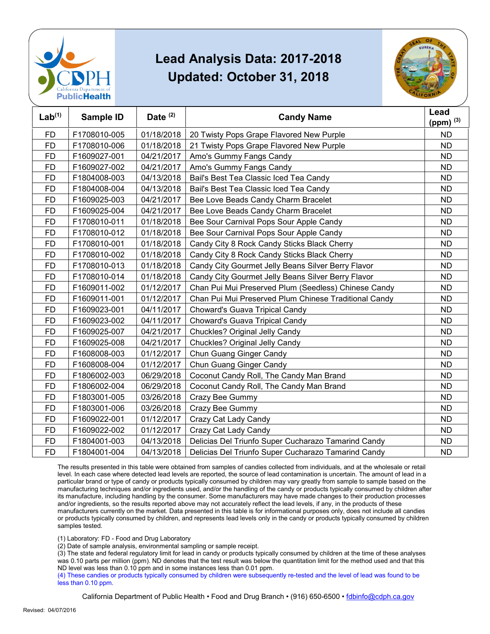



| Lab <sup>(1)</sup> | Sample ID    | Date $(2)$ | <b>Candy Name</b>                                     | Lead<br>(ppm) $(3)$ |
|--------------------|--------------|------------|-------------------------------------------------------|---------------------|
| <b>FD</b>          | F1708010-005 | 01/18/2018 | 20 Twisty Pops Grape Flavored New Purple              | <b>ND</b>           |
| <b>FD</b>          | F1708010-006 | 01/18/2018 | 21 Twisty Pops Grape Flavored New Purple              | <b>ND</b>           |
| <b>FD</b>          | F1609027-001 | 04/21/2017 | Amo's Gummy Fangs Candy                               | <b>ND</b>           |
| <b>FD</b>          | F1609027-002 | 04/21/2017 | Amo's Gummy Fangs Candy                               | <b>ND</b>           |
| <b>FD</b>          | F1804008-003 | 04/13/2018 | Bail's Best Tea Classic Iced Tea Candy                | <b>ND</b>           |
| <b>FD</b>          | F1804008-004 | 04/13/2018 | Bail's Best Tea Classic Iced Tea Candy                | <b>ND</b>           |
| <b>FD</b>          | F1609025-003 | 04/21/2017 | Bee Love Beads Candy Charm Bracelet                   | <b>ND</b>           |
| <b>FD</b>          | F1609025-004 | 04/21/2017 | Bee Love Beads Candy Charm Bracelet                   | <b>ND</b>           |
| <b>FD</b>          | F1708010-011 | 01/18/2018 | Bee Sour Carnival Pops Sour Apple Candy               | <b>ND</b>           |
| <b>FD</b>          | F1708010-012 | 01/18/2018 | Bee Sour Carnival Pops Sour Apple Candy               | <b>ND</b>           |
| <b>FD</b>          | F1708010-001 | 01/18/2018 | Candy City 8 Rock Candy Sticks Black Cherry           | <b>ND</b>           |
| <b>FD</b>          | F1708010-002 | 01/18/2018 | Candy City 8 Rock Candy Sticks Black Cherry           | <b>ND</b>           |
| <b>FD</b>          | F1708010-013 | 01/18/2018 | Candy City Gourmet Jelly Beans Silver Berry Flavor    | <b>ND</b>           |
| <b>FD</b>          | F1708010-014 | 01/18/2018 | Candy City Gourmet Jelly Beans Silver Berry Flavor    | <b>ND</b>           |
| <b>FD</b>          | F1609011-002 | 01/12/2017 | Chan Pui Mui Preserved Plum (Seedless) Chinese Candy  | <b>ND</b>           |
| <b>FD</b>          | F1609011-001 | 01/12/2017 | Chan Pui Mui Preserved Plum Chinese Traditional Candy | <b>ND</b>           |
| <b>FD</b>          | F1609023-001 | 04/11/2017 | Choward's Guava Tripical Candy                        | <b>ND</b>           |
| <b>FD</b>          | F1609023-002 | 04/11/2017 | Choward's Guava Tripical Candy                        | <b>ND</b>           |
| <b>FD</b>          | F1609025-007 | 04/21/2017 | Chuckles? Original Jelly Candy                        | <b>ND</b>           |
| <b>FD</b>          | F1609025-008 | 04/21/2017 | Chuckles? Original Jelly Candy                        | <b>ND</b>           |
| <b>FD</b>          | F1608008-003 | 01/12/2017 | Chun Guang Ginger Candy                               | <b>ND</b>           |
| <b>FD</b>          | F1608008-004 | 01/12/2017 | Chun Guang Ginger Candy                               | <b>ND</b>           |
| FD                 | F1806002-003 | 06/29/2018 | Coconut Candy Roll, The Candy Man Brand               | ND                  |
| <b>FD</b>          | F1806002-004 | 06/29/2018 | Coconut Candy Roll, The Candy Man Brand               | <b>ND</b>           |
| <b>FD</b>          | F1803001-005 | 03/26/2018 | Crazy Bee Gummy                                       | <b>ND</b>           |
| <b>FD</b>          | F1803001-006 | 03/26/2018 | Crazy Bee Gummy                                       | <b>ND</b>           |
| <b>FD</b>          | F1609022-001 | 01/12/2017 | Crazy Cat Lady Candy                                  | <b>ND</b>           |
| <b>FD</b>          | F1609022-002 | 01/12/2017 | Crazy Cat Lady Candy                                  | <b>ND</b>           |
| <b>FD</b>          | F1804001-003 | 04/13/2018 | Delicias Del Triunfo Super Cucharazo Tamarind Candy   | <b>ND</b>           |
| <b>FD</b>          | F1804001-004 | 04/13/2018 | Delicias Del Triunfo Super Cucharazo Tamarind Candy   | <b>ND</b>           |

 The results presented in this table were obtained from samples of candies collected from individuals, and at the wholesale or retail particular brand or type of candy or products typically consumed by children may vary greatly from sample to sample based on the manufacturing techniques and/or ingredients used, and/or the handling of the candy or products typically consumed by children after and/or ingredients, so the results reported above may not accurately reflect the lead levels, if any, in the products of these or products typically consumed by children, and represents lead levels only in the candy or products typically consumed by children level. In each case where detected lead levels are reported, the source of lead contamination is uncertain. The amount of lead in a its manufacture, including handling by the consumer. Some manufacturers may have made changes to their production processes manufacturers currently on the market. Data presented in this table is for informational purposes only, does not include all candies samples tested.

(1) Laboratory: FD - Food and Drug Laboratory

(2) Date of sample analysis, environmental sampling or sample receipt.

 (3) The state and federal regulatory limit for lead in candy or products typically consumed by children at the time of these analyses ND level was less than 0.10 ppm and in some instances less than 0.01 ppm. was 0.10 parts per million (ppm). ND denotes that the test result was below the quantitation limit for the method used and that this

 (4) These candies or products typically consumed by children were subsequently re-tested and the level of lead was found to be less than 0.10 ppm.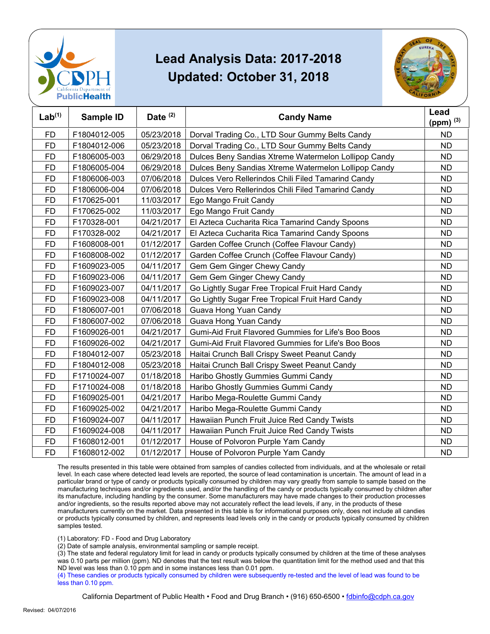



| Lab <sup>(1)</sup> | Sample ID    | Date $(2)$ | <b>Candy Name</b>                                    | Lead<br>(ppm) $(3)$ |
|--------------------|--------------|------------|------------------------------------------------------|---------------------|
| <b>FD</b>          | F1804012-005 | 05/23/2018 | Dorval Trading Co., LTD Sour Gummy Belts Candy       | <b>ND</b>           |
| <b>FD</b>          | F1804012-006 | 05/23/2018 | Dorval Trading Co., LTD Sour Gummy Belts Candy       | <b>ND</b>           |
| <b>FD</b>          | F1806005-003 | 06/29/2018 | Dulces Beny Sandias Xtreme Watermelon Lollipop Candy | <b>ND</b>           |
| <b>FD</b>          | F1806005-004 | 06/29/2018 | Dulces Beny Sandias Xtreme Watermelon Lollipop Candy | <b>ND</b>           |
| <b>FD</b>          | F1806006-003 | 07/06/2018 | Dulces Vero Rellerindos Chili Filed Tamarind Candy   | <b>ND</b>           |
| <b>FD</b>          | F1806006-004 | 07/06/2018 | Dulces Vero Rellerindos Chili Filed Tamarind Candy   | <b>ND</b>           |
| <b>FD</b>          | F170625-001  | 11/03/2017 | Ego Mango Fruit Candy                                | <b>ND</b>           |
| <b>FD</b>          | F170625-002  | 11/03/2017 | Ego Mango Fruit Candy                                | ND.                 |
| <b>FD</b>          | F170328-001  | 04/21/2017 | El Azteca Cucharita Rica Tamarind Candy Spoons       | <b>ND</b>           |
| <b>FD</b>          | F170328-002  | 04/21/2017 | El Azteca Cucharita Rica Tamarind Candy Spoons       | <b>ND</b>           |
| <b>FD</b>          | F1608008-001 | 01/12/2017 | Garden Coffee Crunch (Coffee Flavour Candy)          | <b>ND</b>           |
| <b>FD</b>          | F1608008-002 | 01/12/2017 | Garden Coffee Crunch (Coffee Flavour Candy)          | <b>ND</b>           |
| <b>FD</b>          | F1609023-005 | 04/11/2017 | Gem Gem Ginger Chewy Candy                           | <b>ND</b>           |
| <b>FD</b>          | F1609023-006 | 04/11/2017 | Gem Gem Ginger Chewy Candy                           | ND.                 |
| <b>FD</b>          | F1609023-007 | 04/11/2017 | Go Lightly Sugar Free Tropical Fruit Hard Candy      | <b>ND</b>           |
| <b>FD</b>          | F1609023-008 | 04/11/2017 | Go Lightly Sugar Free Tropical Fruit Hard Candy      | <b>ND</b>           |
| <b>FD</b>          | F1806007-001 | 07/06/2018 | Guava Hong Yuan Candy                                | <b>ND</b>           |
| <b>FD</b>          | F1806007-002 | 07/06/2018 | Guava Hong Yuan Candy                                | <b>ND</b>           |
| <b>FD</b>          | F1609026-001 | 04/21/2017 | Gumi-Aid Fruit Flavored Gummies for Life's Boo Boos  | <b>ND</b>           |
| <b>FD</b>          | F1609026-002 | 04/21/2017 | Gumi-Aid Fruit Flavored Gummies for Life's Boo Boos  | ND.                 |
| <b>FD</b>          | F1804012-007 | 05/23/2018 | Haitai Crunch Ball Crispy Sweet Peanut Candy         | <b>ND</b>           |
| <b>FD</b>          | F1804012-008 | 05/23/2018 | Haitai Crunch Ball Crispy Sweet Peanut Candy         | <b>ND</b>           |
| <b>FD</b>          | F1710024-007 | 01/18/2018 | Haribo Ghostly Gummies Gummi Candy                   | <b>ND</b>           |
| <b>FD</b>          | F1710024-008 | 01/18/2018 | Haribo Ghostly Gummies Gummi Candy                   | <b>ND</b>           |
| <b>FD</b>          | F1609025-001 | 04/21/2017 | Haribo Mega-Roulette Gummi Candy                     | <b>ND</b>           |
| <b>FD</b>          | F1609025-002 | 04/21/2017 | Haribo Mega-Roulette Gummi Candy                     | ND.                 |
| <b>FD</b>          | F1609024-007 | 04/11/2017 | Hawaiian Punch Fruit Juice Red Candy Twists          | <b>ND</b>           |
| <b>FD</b>          | F1609024-008 | 04/11/2017 | Hawaiian Punch Fruit Juice Red Candy Twists          | <b>ND</b>           |
| <b>FD</b>          | F1608012-001 | 01/12/2017 | House of Polvoron Purple Yam Candy                   | <b>ND</b>           |
| <b>FD</b>          | F1608012-002 | 01/12/2017 | House of Polvoron Purple Yam Candy                   | <b>ND</b>           |

 The results presented in this table were obtained from samples of candies collected from individuals, and at the wholesale or retail particular brand or type of candy or products typically consumed by children may vary greatly from sample to sample based on the manufacturing techniques and/or ingredients used, and/or the handling of the candy or products typically consumed by children after and/or ingredients, so the results reported above may not accurately reflect the lead levels, if any, in the products of these or products typically consumed by children, and represents lead levels only in the candy or products typically consumed by children level. In each case where detected lead levels are reported, the source of lead contamination is uncertain. The amount of lead in a its manufacture, including handling by the consumer. Some manufacturers may have made changes to their production processes manufacturers currently on the market. Data presented in this table is for informational purposes only, does not include all candies samples tested.

(1) Laboratory: FD - Food and Drug Laboratory

(2) Date of sample analysis, environmental sampling or sample receipt.

 (3) The state and federal regulatory limit for lead in candy or products typically consumed by children at the time of these analyses ND level was less than 0.10 ppm and in some instances less than 0.01 ppm. was 0.10 parts per million (ppm). ND denotes that the test result was below the quantitation limit for the method used and that this

 (4) These candies or products typically consumed by children were subsequently re-tested and the level of lead was found to be less than 0.10 ppm.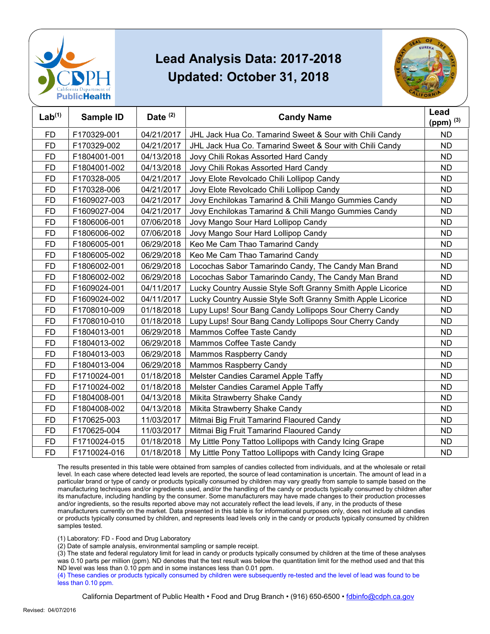



| Lab <sup>(1)</sup> | Sample ID    | Date $(2)$ | <b>Candy Name</b>                                           | Lead        |
|--------------------|--------------|------------|-------------------------------------------------------------|-------------|
|                    |              |            |                                                             | (ppm) $(3)$ |
| <b>FD</b>          | F170329-001  | 04/21/2017 | JHL Jack Hua Co. Tamarind Sweet & Sour with Chili Candy     | <b>ND</b>   |
| <b>FD</b>          | F170329-002  | 04/21/2017 | JHL Jack Hua Co. Tamarind Sweet & Sour with Chili Candy     | <b>ND</b>   |
| <b>FD</b>          | F1804001-001 | 04/13/2018 | Jovy Chili Rokas Assorted Hard Candy                        | <b>ND</b>   |
| <b>FD</b>          | F1804001-002 | 04/13/2018 | Jovy Chili Rokas Assorted Hard Candy                        | <b>ND</b>   |
| <b>FD</b>          | F170328-005  | 04/21/2017 | Jovy Elote Revolcado Chili Lollipop Candy                   | <b>ND</b>   |
| <b>FD</b>          | F170328-006  | 04/21/2017 | Jovy Elote Revolcado Chili Lollipop Candy                   | <b>ND</b>   |
| <b>FD</b>          | F1609027-003 | 04/21/2017 | Jovy Enchilokas Tamarind & Chili Mango Gummies Candy        | <b>ND</b>   |
| <b>FD</b>          | F1609027-004 | 04/21/2017 | Jovy Enchilokas Tamarind & Chili Mango Gummies Candy        | <b>ND</b>   |
| <b>FD</b>          | F1806006-001 | 07/06/2018 | Jovy Mango Sour Hard Lollipop Candy                         | <b>ND</b>   |
| <b>FD</b>          | F1806006-002 | 07/06/2018 | Jovy Mango Sour Hard Lollipop Candy                         | <b>ND</b>   |
| <b>FD</b>          | F1806005-001 | 06/29/2018 | Keo Me Cam Thao Tamarind Candy                              | <b>ND</b>   |
| <b>FD</b>          | F1806005-002 | 06/29/2018 | Keo Me Cam Thao Tamarind Candy                              | <b>ND</b>   |
| <b>FD</b>          | F1806002-001 | 06/29/2018 | Locochas Sabor Tamarindo Candy, The Candy Man Brand         | <b>ND</b>   |
| <b>FD</b>          | F1806002-002 | 06/29/2018 | Locochas Sabor Tamarindo Candy, The Candy Man Brand         | <b>ND</b>   |
| <b>FD</b>          | F1609024-001 | 04/11/2017 | Lucky Country Aussie Style Soft Granny Smith Apple Licorice | <b>ND</b>   |
| <b>FD</b>          | F1609024-002 | 04/11/2017 | Lucky Country Aussie Style Soft Granny Smith Apple Licorice | <b>ND</b>   |
| FD                 | F1708010-009 | 01/18/2018 | Lupy Lups! Sour Bang Candy Lollipops Sour Cherry Candy      | ND          |
| <b>FD</b>          | F1708010-010 | 01/18/2018 | Lupy Lups! Sour Bang Candy Lollipops Sour Cherry Candy      | <b>ND</b>   |
| <b>FD</b>          | F1804013-001 | 06/29/2018 | Mammos Coffee Taste Candy                                   | <b>ND</b>   |
| <b>FD</b>          | F1804013-002 | 06/29/2018 | Mammos Coffee Taste Candy                                   | ND          |
| <b>FD</b>          | F1804013-003 | 06/29/2018 | Mammos Raspberry Candy                                      | <b>ND</b>   |
| <b>FD</b>          | F1804013-004 | 06/29/2018 | Mammos Raspberry Candy                                      | <b>ND</b>   |
| <b>FD</b>          | F1710024-001 | 01/18/2018 | Melster Candies Caramel Apple Taffy                         | <b>ND</b>   |
| <b>FD</b>          | F1710024-002 | 01/18/2018 | Melster Candies Caramel Apple Taffy                         | <b>ND</b>   |
| FD                 | F1804008-001 | 04/13/2018 | Mikita Strawberry Shake Candy                               | <b>ND</b>   |
| FD                 | F1804008-002 | 04/13/2018 | Mikita Strawberry Shake Candy                               | ND          |
| <b>FD</b>          | F170625-003  | 11/03/2017 | Mitmai Big Fruit Tamarind Flaoured Candy                    | <b>ND</b>   |
| <b>FD</b>          | F170625-004  | 11/03/2017 | Mitmai Big Fruit Tamarind Flaoured Candy                    | <b>ND</b>   |
| <b>FD</b>          | F1710024-015 | 01/18/2018 | My Little Pony Tattoo Lollipops with Candy Icing Grape      | <b>ND</b>   |
| <b>FD</b>          | F1710024-016 | 01/18/2018 | My Little Pony Tattoo Lollipops with Candy Icing Grape      | <b>ND</b>   |

 The results presented in this table were obtained from samples of candies collected from individuals, and at the wholesale or retail particular brand or type of candy or products typically consumed by children may vary greatly from sample to sample based on the manufacturing techniques and/or ingredients used, and/or the handling of the candy or products typically consumed by children after and/or ingredients, so the results reported above may not accurately reflect the lead levels, if any, in the products of these or products typically consumed by children, and represents lead levels only in the candy or products typically consumed by children level. In each case where detected lead levels are reported, the source of lead contamination is uncertain. The amount of lead in a its manufacture, including handling by the consumer. Some manufacturers may have made changes to their production processes manufacturers currently on the market. Data presented in this table is for informational purposes only, does not include all candies samples tested.

(1) Laboratory: FD - Food and Drug Laboratory

(2) Date of sample analysis, environmental sampling or sample receipt.

 (3) The state and federal regulatory limit for lead in candy or products typically consumed by children at the time of these analyses ND level was less than 0.10 ppm and in some instances less than 0.01 ppm. was 0.10 parts per million (ppm). ND denotes that the test result was below the quantitation limit for the method used and that this

 (4) These candies or products typically consumed by children were subsequently re-tested and the level of lead was found to be less than 0.10 ppm.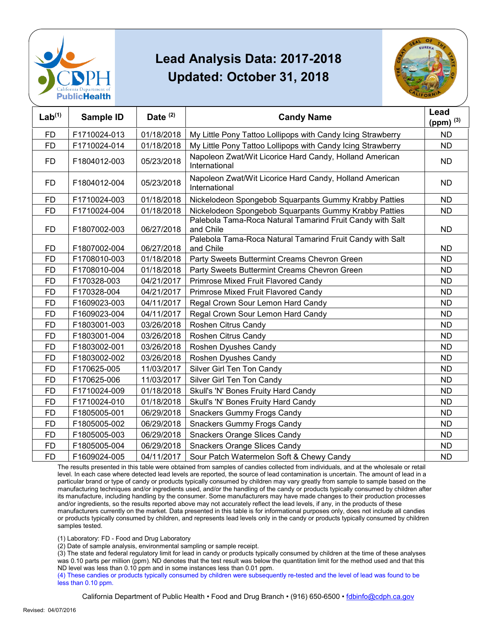



| Lab <sup>(1)</sup> | Sample ID    | Date $(2)$ | <b>Candy Name</b>                                                        | Lead<br>(ppm) $(3)$ |
|--------------------|--------------|------------|--------------------------------------------------------------------------|---------------------|
| <b>FD</b>          | F1710024-013 | 01/18/2018 | My Little Pony Tattoo Lollipops with Candy Icing Strawberry              | <b>ND</b>           |
| <b>FD</b>          | F1710024-014 | 01/18/2018 | My Little Pony Tattoo Lollipops with Candy Icing Strawberry              | <b>ND</b>           |
| <b>FD</b>          | F1804012-003 | 05/23/2018 | Napoleon Zwat/Wit Licorice Hard Candy, Holland American<br>International | <b>ND</b>           |
| <b>FD</b>          | F1804012-004 | 05/23/2018 | Napoleon Zwat/Wit Licorice Hard Candy, Holland American<br>International | <b>ND</b>           |
| <b>FD</b>          | F1710024-003 | 01/18/2018 | Nickelodeon Spongebob Squarpants Gummy Krabby Patties                    | <b>ND</b>           |
| <b>FD</b>          | F1710024-004 | 01/18/2018 | Nickelodeon Spongebob Squarpants Gummy Krabby Patties                    | <b>ND</b>           |
| <b>FD</b>          | F1807002-003 | 06/27/2018 | Palebola Tama-Roca Natural Tamarind Fruit Candy with Salt<br>and Chile   | <b>ND</b>           |
| <b>FD</b>          | F1807002-004 | 06/27/2018 | Palebola Tama-Roca Natural Tamarind Fruit Candy with Salt<br>and Chile   | <b>ND</b>           |
| <b>FD</b>          | F1708010-003 | 01/18/2018 | Party Sweets Buttermint Creams Chevron Green                             | <b>ND</b>           |
| <b>FD</b>          | F1708010-004 | 01/18/2018 | Party Sweets Buttermint Creams Chevron Green                             | <b>ND</b>           |
| <b>FD</b>          | F170328-003  | 04/21/2017 | Primrose Mixed Fruit Flavored Candy                                      | <b>ND</b>           |
| <b>FD</b>          | F170328-004  | 04/21/2017 | Primrose Mixed Fruit Flavored Candy                                      | <b>ND</b>           |
| <b>FD</b>          | F1609023-003 | 04/11/2017 | Regal Crown Sour Lemon Hard Candy                                        | <b>ND</b>           |
| <b>FD</b>          | F1609023-004 | 04/11/2017 | Regal Crown Sour Lemon Hard Candy                                        | <b>ND</b>           |
| <b>FD</b>          | F1803001-003 | 03/26/2018 | Roshen Citrus Candy                                                      | <b>ND</b>           |
| <b>FD</b>          | F1803001-004 | 03/26/2018 | Roshen Citrus Candy                                                      | <b>ND</b>           |
| <b>FD</b>          | F1803002-001 | 03/26/2018 | Roshen Dyushes Candy                                                     | <b>ND</b>           |
| <b>FD</b>          | F1803002-002 | 03/26/2018 | Roshen Dyushes Candy                                                     | <b>ND</b>           |
| <b>FD</b>          | F170625-005  | 11/03/2017 | Silver Girl Ten Ton Candy                                                | <b>ND</b>           |
| <b>FD</b>          | F170625-006  | 11/03/2017 | Silver Girl Ten Ton Candy                                                | <b>ND</b>           |
| <b>FD</b>          | F1710024-009 | 01/18/2018 | Skull's 'N' Bones Fruity Hard Candy                                      | <b>ND</b>           |
| <b>FD</b>          | F1710024-010 | 01/18/2018 | Skull's 'N' Bones Fruity Hard Candy                                      | <b>ND</b>           |
| <b>FD</b>          | F1805005-001 | 06/29/2018 | <b>Snackers Gummy Frogs Candy</b>                                        | <b>ND</b>           |
| <b>FD</b>          | F1805005-002 | 06/29/2018 | <b>Snackers Gummy Frogs Candy</b>                                        | <b>ND</b>           |
| <b>FD</b>          | F1805005-003 | 06/29/2018 | <b>Snackers Orange Slices Candy</b>                                      | <b>ND</b>           |
| <b>FD</b>          | F1805005-004 | 06/29/2018 | <b>Snackers Orange Slices Candy</b>                                      | <b>ND</b>           |
| <b>FD</b>          | F1609024-005 | 04/11/2017 | Sour Patch Watermelon Soft & Chewy Candy                                 | <b>ND</b>           |

 The results presented in this table were obtained from samples of candies collected from individuals, and at the wholesale or retail particular brand or type of candy or products typically consumed by children may vary greatly from sample to sample based on the manufacturing techniques and/or ingredients used, and/or the handling of the candy or products typically consumed by children after and/or ingredients, so the results reported above may not accurately reflect the lead levels, if any, in the products of these or products typically consumed by children, and represents lead levels only in the candy or products typically consumed by children level. In each case where detected lead levels are reported, the source of lead contamination is uncertain. The amount of lead in a its manufacture, including handling by the consumer. Some manufacturers may have made changes to their production processes manufacturers currently on the market. Data presented in this table is for informational purposes only, does not include all candies samples tested.

(1) Laboratory: FD - Food and Drug Laboratory

(2) Date of sample analysis, environmental sampling or sample receipt.

 (3) The state and federal regulatory limit for lead in candy or products typically consumed by children at the time of these analyses ND level was less than 0.10 ppm and in some instances less than 0.01 ppm. was 0.10 parts per million (ppm). ND denotes that the test result was below the quantitation limit for the method used and that this

 (4) These candies or products typically consumed by children were subsequently re-tested and the level of lead was found to be less than 0.10 ppm.